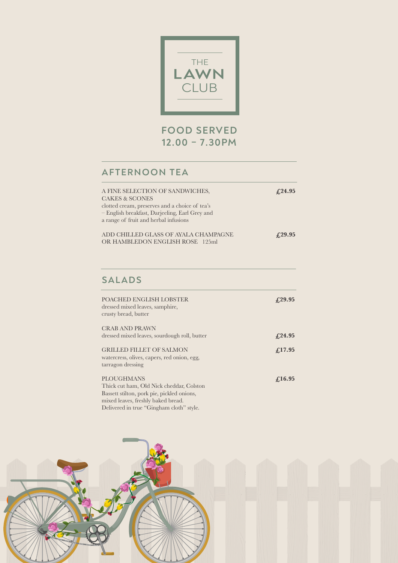

## **FOOD SERVED 12.00 – 7.30PM**

# **AFTERNOON TEA**

| A FINE SELECTION OF SANDWICHES,<br><b>CAKES &amp; SCONES</b><br>clotted cream, preserves and a choice of tea's<br>– English breakfast, Darjeeling, Earl Grey and<br>a range of fruit and herbal infusions | £24.95       |
|-----------------------------------------------------------------------------------------------------------------------------------------------------------------------------------------------------------|--------------|
| ADD CHILLED GLASS OF AYALA CHAMPAGNE<br>OR HAMBLEDON ENGLISH ROSE 125ml                                                                                                                                   | $f_{.}29.95$ |

### **SALADS**

| POACHED ENGLISH LOBSTER<br>dressed mixed leaves, samphire,<br>crusty bread, butter                                                        | $f_{.29.95}$ |
|-------------------------------------------------------------------------------------------------------------------------------------------|--------------|
| <b>CRAB AND PRAWN</b>                                                                                                                     |              |
| dressed mixed leaves, sourdough roll, butter                                                                                              | $f_{.24.95}$ |
| <b>GRILLED FILLET OF SALMON</b><br>watercress, olives, capers, red onion, egg,<br>tarragon dressing                                       | $f_{.}17.95$ |
| PLOUGHMANS<br>Thick cut ham, Old Nick cheddar, Colston<br>Bassett stilton, pork pie, pickled onions,<br>miyad laayaa fuqably balxad buqad | $f_{.}16.95$ |

mixed leaves, freshly baked bread. Delivered in true "Gingham cloth" style.